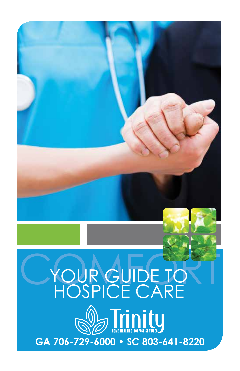# CYOUR GUIDE TO HOSPICE CARE **D** Trinity **GA 706-729-6000 • SC 803-641-8220**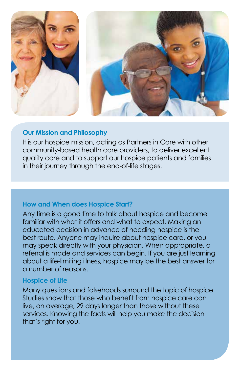

## **Our Mission and Philosophy**

It is our hospice mission, acting as Partners in Care with other community-based health care providers, to deliver excellent quality care and to support our hospice patients and families in their journey through the end-of-life stages.

### **How and When does Hospice Start?**

Any time is a good time to talk about hospice and become familiar with what it offers and what to expect. Making an educated decision in advance of needing hospice is the best route. Anyone may inquire about hospice care, or you may speak directly with your physician. When appropriate, a referral is made and services can begin. If you are just learning about a life-limiting illness, hospice may be the best answer for a number of reasons.

### **Hospice of Life**

Many questions and falsehoods surround the topic of hospice. Studies show that those who benefit from hospice care can live, on average, 29 days longer than those without these services. Knowing the facts will help you make the decision that's right for you.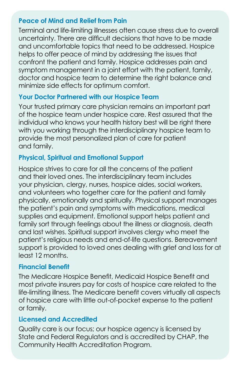## **Peace of Mind and Relief from Pain**

Terminal and life-limiting illnesses often cause stress due to overall uncertainty. There are difficult decisions that have to be made and uncomfortable topics that need to be addressed. Hospice helps to offer peace of mind by addressing the issues that confront the patient and family. Hospice addresses pain and symptom management in a joint effort with the patient, family, doctor and hospice team to determine the right balance and minimize side effects for optimum comfort.

# **Your Doctor Partnered with our Hospice Team**

Your trusted primary care physician remains an important part of the hospice team under hospice care. Rest assured that the individual who knows your health history best will be right there with you working through the interdisciplinary hospice team to provide the most personalized plan of care for patient and family.

# **Physical, Spiritual and Emotional Support**

Hospice strives to care for all the concerns of the patient and their loved ones. The interdisciplinary team includes your physician, clergy, nurses, hospice aides, social workers, and volunteers who together care for the patient and family physically, emotionally and spiritually. Physical support manages the patient's pain and symptoms with medications, medical supplies and equipment. Emotional support helps patient and family sort through feelings about the illness or diagnosis, death and last wishes. Spiritual support involves clergy who meet the patient's religious needs and end-of-life questions. Bereavement support is provided to loved ones dealing with grief and loss for at least 12 months.

## **Financial Benefit**

The Medicare Hospice Benefit, Medicaid Hospice Benefit and most private insurers pay for costs of hospice care related to the life-limiting illness. The Medicare benefit covers virtually all aspects of hospice care with little out-of-pocket expense to the patient or family.

## **Licensed and Accredited**

Quality care is our focus; our hospice agency is licensed by State and Federal Regulators and is accredited by CHAP, the Community Health Accreditation Program.